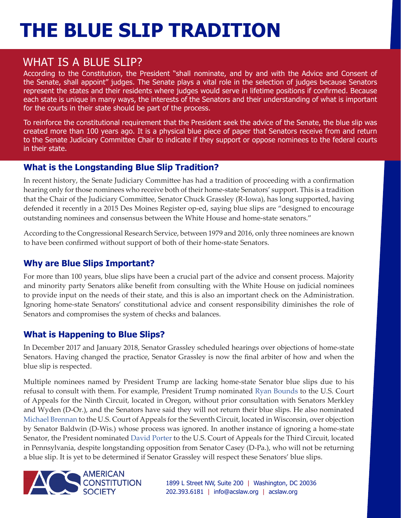# **THE BLUE SLIP TRADITION**

### WHAT IS A BLUE SLIP?

According to the Constitution, the President "shall nominate, and by and with the Advice and Consent of the Senate, shall appoint" judges. The Senate plays a vital role in the selection of judges because Senators represent the states and their residents where judges would serve in lifetime positions if confirmed. Because each state is unique in many ways, the interests of the Senators and their understanding of what is important for the courts in their state should be part of the process.

To reinforce the constitutional requirement that the President seek the advice of the Senate, the blue slip was created more than 100 years ago. It is a physical blue piece of paper that Senators receive from and return to the Senate Judiciary Committee Chair to indicate if they support or oppose nominees to the federal courts in their state.

#### **What is the Longstanding Blue Slip Tradition?**

In recent history, the Senate Judiciary Committee has had a tradition of proceeding with a confirmation hearing only for those nominees who receive both of their home-state Senators' support. This is a tradition that the Chair of the Judiciary Committee, Senator Chuck Grassley (R-Iowa), has long supported, having defended it recently in a 2015 Des Moines Register op-ed, saying blue slips are "designed to encourage outstanding nominees and consensus between the White House and home-state senators."

According to the Congressional Research Service, between 1979 and 2016, only three nominees are known to have been confirmed without support of both of their home-state Senators.

#### **Why are Blue Slips Important?**

For more than 100 years, blue slips have been a crucial part of the advice and consent process. Majority and minority party Senators alike benefit from consulting with the White House on judicial nominees to provide input on the needs of their state, and this is also an important check on the Administration. Ignoring home-state Senators' constitutional advice and consent responsibility diminishes the role of Senators and compromises the system of checks and balances.

#### **What is Happening to Blue Slips?**

In December 2017 and January 2018, Senator Grassley scheduled hearings over objections of home-state Senators. Having changed the practice, Senator Grassley is now the final arbiter of how and when the blue slip is respected.

Multiple nominees named by President Trump are lacking home-state Senator blue slips due to his refusal to consult with them. For example, President Trump nominated Ryan Bounds to the U.S. Court of Appeals for the Ninth Circuit, located in Oregon, without prior consultation with Senators Merkley and Wyden (D-Or.), and the Senators have said they will not return their blue slips. He also nominated Michael Brennan to the U.S. Court of Appeals for the Seventh Circuit, located in Wisconsin, over objection by Senator Baldwin (D-Wis.) whose process was ignored. In another instance of ignoring a home-state Senator, the President nominated David Porter to the U.S. Court of Appeals for the Third Circuit, located in Pennsylvania, despite longstanding opposition from Senator Casey (D-Pa.), who will not be returning a blue slip. It is yet to be determined if Senator Grassley will respect these Senators' blue slips.